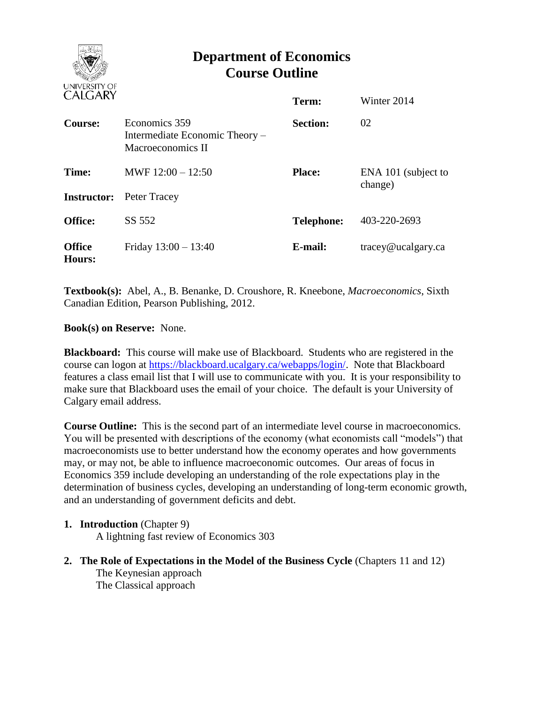

# **Department of Economics Course Outline**

| <b>UALUANI</b>          |                                                                      | Term:             | Winter 2014                    |
|-------------------------|----------------------------------------------------------------------|-------------------|--------------------------------|
| <b>Course:</b>          | Economics 359<br>Intermediate Economic Theory –<br>Macroeconomics II | <b>Section:</b>   | 02                             |
| Time:                   | MWF $12:00 - 12:50$<br><b>Instructor:</b> Peter Tracey               | <b>Place:</b>     | ENA 101 (subject to<br>change) |
| <b>Office:</b>          | SS 552                                                               | <b>Telephone:</b> | 403-220-2693                   |
| <b>Office</b><br>Hours: | Friday $13:00 - 13:40$                                               | E-mail:           | tracey@ucalgary.ca             |

**Textbook(s):** Abel, A., B. Benanke, D. Croushore, R. Kneebone, *Macroeconomics*, Sixth Canadian Edition, Pearson Publishing, 2012.

### **Book(s) on Reserve:** None.

**Blackboard:** This course will make use of Blackboard. Students who are registered in the course can logon at [https://blackboard.ucalgary.ca/webapps/login/.](https://blackboard.ucalgary.ca/webapps/login/) Note that Blackboard features a class email list that I will use to communicate with you. It is your responsibility to make sure that Blackboard uses the email of your choice. The default is your University of Calgary email address.

**Course Outline:** This is the second part of an intermediate level course in macroeconomics. You will be presented with descriptions of the economy (what economists call "models") that macroeconomists use to better understand how the economy operates and how governments may, or may not, be able to influence macroeconomic outcomes. Our areas of focus in Economics 359 include developing an understanding of the role expectations play in the determination of business cycles, developing an understanding of long-term economic growth, and an understanding of government deficits and debt.

## **1. Introduction** (Chapter 9)

A lightning fast review of Economics 303

**2. The Role of Expectations in the Model of the Business Cycle** (Chapters 11 and 12) The Keynesian approach The Classical approach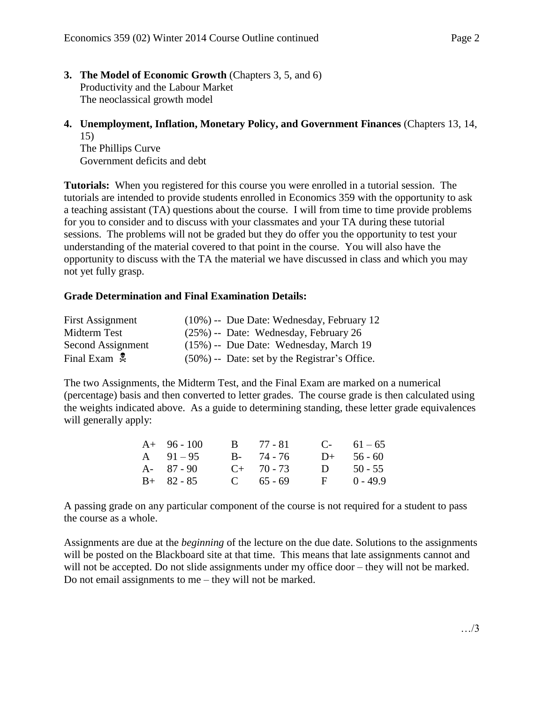- **3. The Model of Economic Growth** (Chapters 3, 5, and 6) Productivity and the Labour Market The neoclassical growth model
- **4. Unemployment, Inflation, Monetary Policy, and Government Finances** (Chapters 13, 14, 15)

The Phillips Curve Government deficits and debt

**Tutorials:** When you registered for this course you were enrolled in a tutorial session. The tutorials are intended to provide students enrolled in Economics 359 with the opportunity to ask a teaching assistant (TA) questions about the course. I will from time to time provide problems for you to consider and to discuss with your classmates and your TA during these tutorial sessions. The problems will not be graded but they do offer you the opportunity to test your understanding of the material covered to that point in the course. You will also have the opportunity to discuss with the TA the material we have discussed in class and which you may not yet fully grasp.

### **Grade Determination and Final Examination Details:**

| <b>First Assignment</b>  | $(10\%)$ -- Due Date: Wednesday, February 12     |
|--------------------------|--------------------------------------------------|
| Midterm Test             | $(25\%)$ -- Date: Wednesday, February 26         |
| Second Assignment        | $(15\%)$ -- Due Date: Wednesday, March 19        |
| Final Exam $\frac{1}{2}$ | $(50\%)$ -- Date: set by the Registrar's Office. |

The two Assignments, the Midterm Test, and the Final Exam are marked on a numerical (percentage) basis and then converted to letter grades. The course grade is then calculated using the weights indicated above. As a guide to determining standing, these letter grade equivalences will generally apply:

| $A+ 96-100$   | $B = 77 - 81$ |              | $C-61-65$    |
|---------------|---------------|--------------|--------------|
| $A = 91 - 95$ | $B - 74 - 76$ |              | $D+ 56 - 60$ |
| $A - 87 - 90$ | $C+ 70-73$    |              | D $50 - 55$  |
| $B+ 82 - 85$  | C $65 - 69$   | $\mathbf{F}$ | $0 - 49.9$   |

A passing grade on any particular component of the course is not required for a student to pass the course as a whole.

Assignments are due at the *beginning* of the lecture on the due date. Solutions to the assignments will be posted on the Blackboard site at that time. This means that late assignments cannot and will not be accepted. Do not slide assignments under my office door – they will not be marked. Do not email assignments to me – they will not be marked.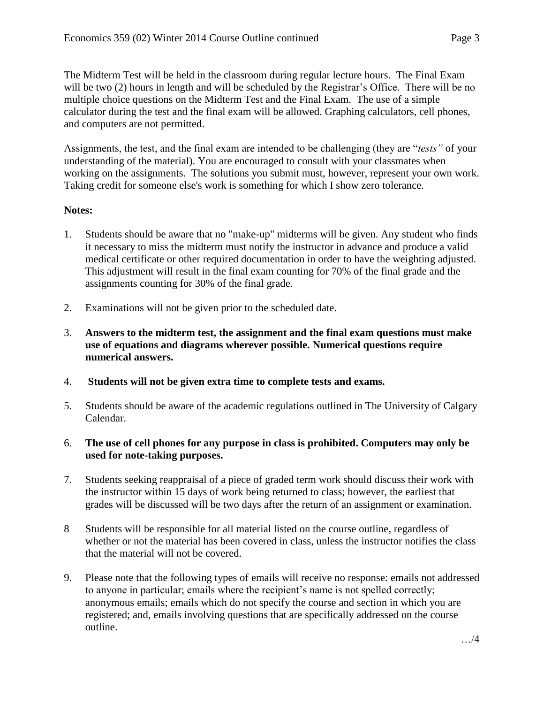The Midterm Test will be held in the classroom during regular lecture hours. The Final Exam will be two (2) hours in length and will be scheduled by the Registrar's Office. There will be no multiple choice questions on the Midterm Test and the Final Exam. The use of a simple calculator during the test and the final exam will be allowed. Graphing calculators, cell phones, and computers are not permitted.

Assignments, the test, and the final exam are intended to be challenging (they are "*tests"* of your understanding of the material). You are encouraged to consult with your classmates when working on the assignments. The solutions you submit must, however, represent your own work. Taking credit for someone else's work is something for which I show zero tolerance.

## **Notes:**

- 1. Students should be aware that no "make-up" midterms will be given. Any student who finds it necessary to miss the midterm must notify the instructor in advance and produce a valid medical certificate or other required documentation in order to have the weighting adjusted. This adjustment will result in the final exam counting for 70% of the final grade and the assignments counting for 30% of the final grade.
- 2. Examinations will not be given prior to the scheduled date.
- 3. **Answers to the midterm test, the assignment and the final exam questions must make use of equations and diagrams wherever possible. Numerical questions require numerical answers.**
- 4. **Students will not be given extra time to complete tests and exams.**
- 5. Students should be aware of the academic regulations outlined in The University of Calgary Calendar.
- 6. **The use of cell phones for any purpose in class is prohibited. Computers may only be used for note-taking purposes.**
- 7. Students seeking reappraisal of a piece of graded term work should discuss their work with the instructor within 15 days of work being returned to class; however, the earliest that grades will be discussed will be two days after the return of an assignment or examination.
- 8 Students will be responsible for all material listed on the course outline, regardless of whether or not the material has been covered in class, unless the instructor notifies the class that the material will not be covered.
- 9. Please note that the following types of emails will receive no response: emails not addressed to anyone in particular; emails where the recipient's name is not spelled correctly; anonymous emails; emails which do not specify the course and section in which you are registered; and, emails involving questions that are specifically addressed on the course outline.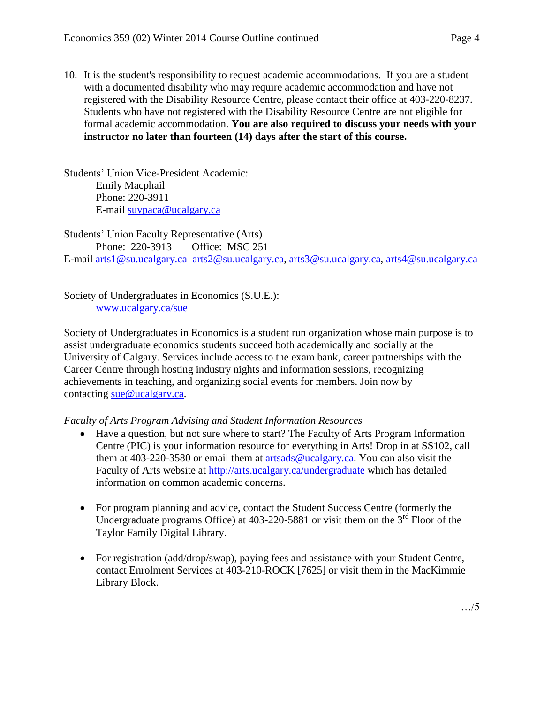10. It is the student's responsibility to request academic accommodations. If you are a student with a documented disability who may require academic accommodation and have not registered with the Disability Resource Centre, please contact their office at 403-220-8237. Students who have not registered with the Disability Resource Centre are not eligible for formal academic accommodation. **You are also required to discuss your needs with your instructor no later than fourteen (14) days after the start of this course.**

Students' Union Vice-President Academic: Emily Macphail Phone: 220-3911 E-mail [suvpaca@ucalgary.ca](mailto:subpaca@ucalgary.ca)

Students' Union Faculty Representative (Arts) Phone: 220-3913 Office: MSC 251 E-mail [arts1@su.ucalgary.ca](mailto:arts1@su.ucalgary.ca) [arts2@su.ucalgary.ca,](mailto:arts2@su.ucalgary.ca) [arts3@su.ucalgary.ca,](mailto:arts3@su.ucalgary.ca) [arts4@su.ucalgary.ca](mailto:arts4@su.ucalgary.ca)

Society of Undergraduates in Economics (S.U.E.): [www.ucalgary.ca/sue](http://www.fp.ucalgary.ca/econ)

Society of Undergraduates in Economics is a student run organization whose main purpose is to assist undergraduate economics students succeed both academically and socially at the University of Calgary. Services include access to the exam bank, career partnerships with the Career Centre through hosting industry nights and information sessions, recognizing achievements in teaching, and organizing social events for members. Join now by contacting [sue@ucalgary.ca.](mailto:sue@ucalgary.ca)

*Faculty of Arts Program Advising and Student Information Resources*

- Have a question, but not sure where to start? The Faculty of Arts Program Information Centre (PIC) is your information resource for everything in Arts! Drop in at SS102, call them at 403-220-3580 or email them at [artsads@ucalgary.ca.](mailto:artsads@ucalgary.ca) You can also visit the Faculty of Arts website at<http://arts.ucalgary.ca/undergraduate> which has detailed information on common academic concerns.
- For program planning and advice, contact the Student Success Centre (formerly the Undergraduate programs Office) at  $403-220-5881$  or visit them on the  $3<sup>rd</sup>$  Floor of the Taylor Family Digital Library.
- For registration (add/drop/swap), paying fees and assistance with your Student Centre, contact Enrolment Services at 403-210-ROCK [7625] or visit them in the MacKimmie Library Block.